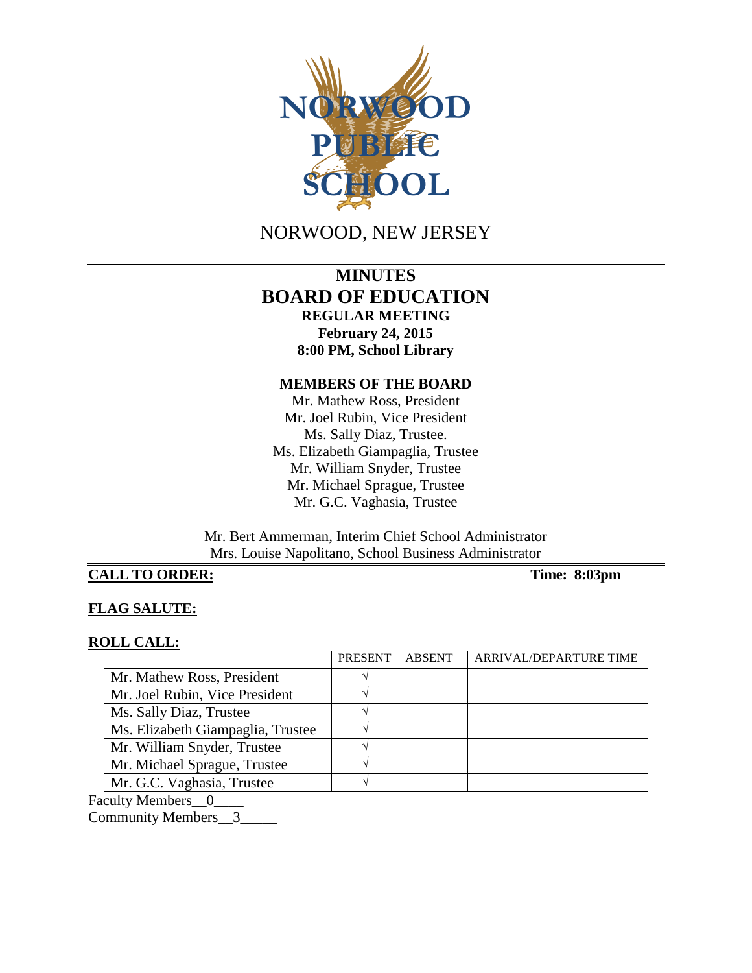

NORWOOD, NEW JERSEY

# **MINUTES BOARD OF EDUCATION REGULAR MEETING February 24, 2015 8:00 PM, School Library**

#### **MEMBERS OF THE BOARD**

Mr. Mathew Ross, President Mr. Joel Rubin, Vice President Ms. Sally Diaz, Trustee. Ms. Elizabeth Giampaglia, Trustee Mr. William Snyder, Trustee Mr. Michael Sprague, Trustee Mr. G.C. Vaghasia, Trustee

Mr. Bert Ammerman, Interim Chief School Administrator Mrs. Louise Napolitano, School Business Administrator

### **CALL TO ORDER: Time: 8:03pm**

### **FLAG SALUTE:**

#### **ROLL CALL:**

|                                   | <b>PRESENT</b> | <b>ABSENT</b> | ARRIVAL/DEPARTURE TIME |
|-----------------------------------|----------------|---------------|------------------------|
| Mr. Mathew Ross, President        |                |               |                        |
| Mr. Joel Rubin, Vice President    |                |               |                        |
| Ms. Sally Diaz, Trustee           |                |               |                        |
| Ms. Elizabeth Giampaglia, Trustee |                |               |                        |
| Mr. William Snyder, Trustee       |                |               |                        |
| Mr. Michael Sprague, Trustee      |                |               |                        |
| Mr. G.C. Vaghasia, Trustee        |                |               |                        |

Faculty Members\_0\_

Community Members\_3\_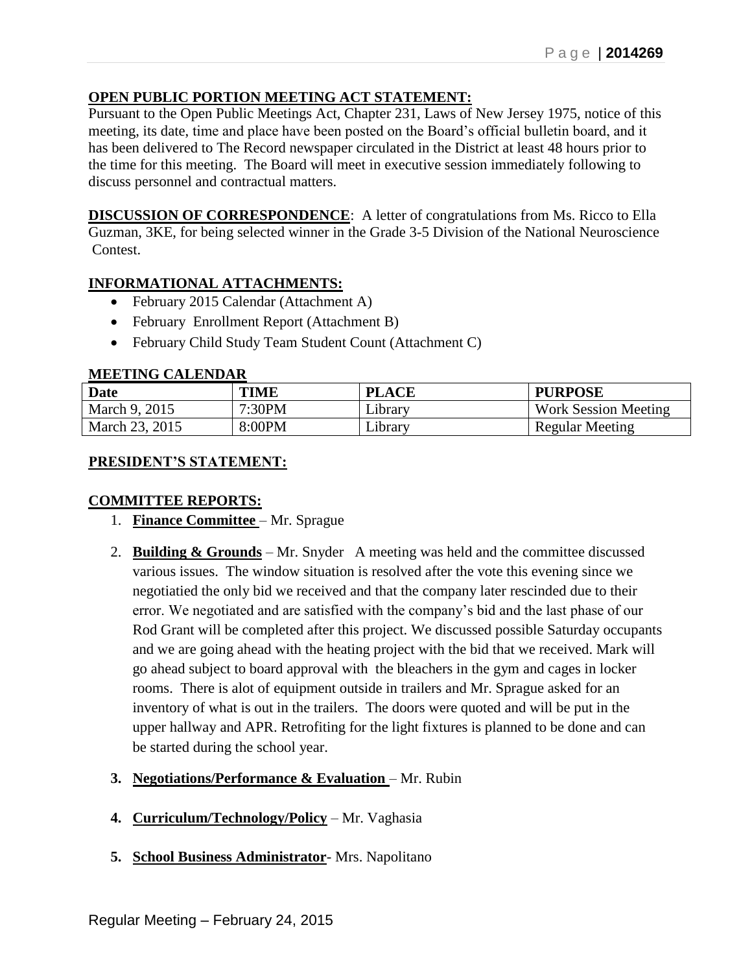# **OPEN PUBLIC PORTION MEETING ACT STATEMENT:**

Pursuant to the Open Public Meetings Act, Chapter 231, Laws of New Jersey 1975, notice of this meeting, its date, time and place have been posted on the Board's official bulletin board, and it has been delivered to The Record newspaper circulated in the District at least 48 hours prior to the time for this meeting. The Board will meet in executive session immediately following to discuss personnel and contractual matters.

**DISCUSSION OF CORRESPONDENCE**: A letter of congratulations from Ms. Ricco to Ella Guzman, 3KE, for being selected winner in the Grade 3-5 Division of the National Neuroscience Contest.

### **INFORMATIONAL ATTACHMENTS:**

- February 2015 Calendar (Attachment A)
- February Enrollment Report (Attachment B)
- February Child Study Team Student Count (Attachment C)

### **MEETING CALENDAR**

| Date           | <b>TIME</b> | <b>PLACE</b>   | <b>PURPOSE</b>              |
|----------------|-------------|----------------|-----------------------------|
| March 9, 2015  | 7:30PM      | Library        | <b>Work Session Meeting</b> |
| March 23, 2015 | 8:00PM      | <i>i</i> brary | <b>Regular Meeting</b>      |

### **PRESIDENT'S STATEMENT:**

### **COMMITTEE REPORTS:**

- 1. **Finance Committee** Mr. Sprague
- 2. **Building & Grounds** Mr. Snyder A meeting was held and the committee discussed various issues. The window situation is resolved after the vote this evening since we negotiatied the only bid we received and that the company later rescinded due to their error. We negotiated and are satisfied with the company's bid and the last phase of our Rod Grant will be completed after this project. We discussed possible Saturday occupants and we are going ahead with the heating project with the bid that we received. Mark will go ahead subject to board approval with the bleachers in the gym and cages in locker rooms. There is alot of equipment outside in trailers and Mr. Sprague asked for an inventory of what is out in the trailers. The doors were quoted and will be put in the upper hallway and APR. Retrofiting for the light fixtures is planned to be done and can be started during the school year.
- **3. Negotiations/Performance & Evaluation** Mr. Rubin
- **4. Curriculum/Technology/Policy** Mr. Vaghasia
- **5. School Business Administrator** Mrs. Napolitano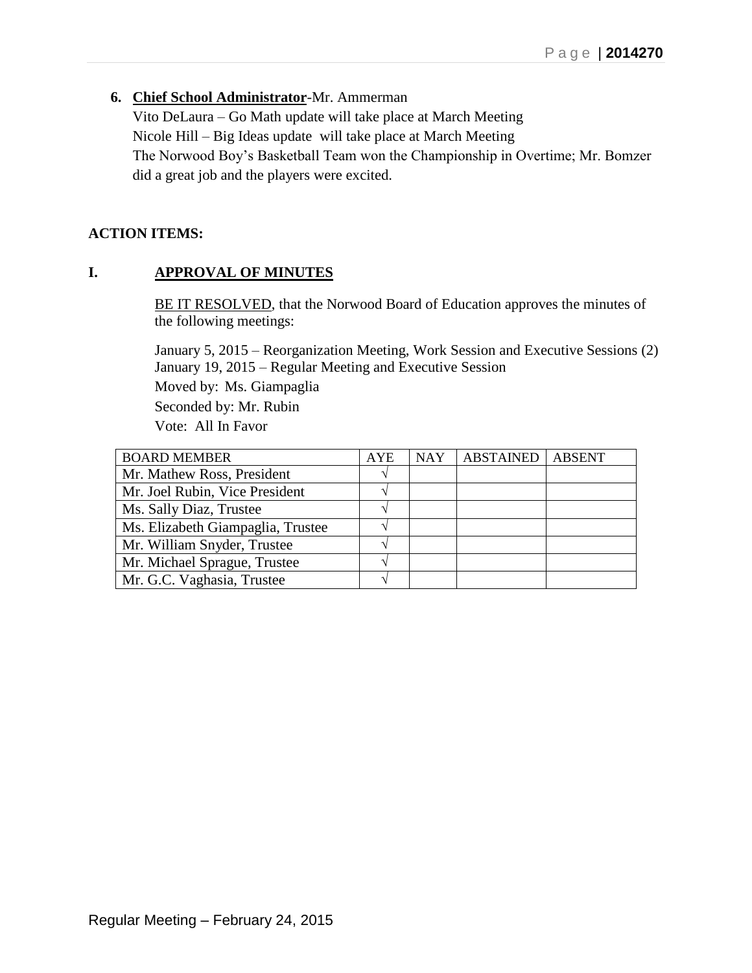### **6. Chief School Administrator**-Mr. Ammerman

Vito DeLaura – Go Math update will take place at March Meeting Nicole Hill – Big Ideas update will take place at March Meeting The Norwood Boy's Basketball Team won the Championship in Overtime; Mr. Bomzer did a great job and the players were excited.

### **ACTION ITEMS:**

## **I. APPROVAL OF MINUTES**

BE IT RESOLVED, that the Norwood Board of Education approves the minutes of the following meetings:

January 5, 2015 – Reorganization Meeting, Work Session and Executive Sessions (2) January 19, 2015 – Regular Meeting and Executive Session Moved by: Ms. Giampaglia Seconded by: Mr. Rubin Vote: All In Favor

| <b>BOARD MEMBER</b>               | <b>AYE</b> | <b>NAY</b> | <b>ABSTAINED</b> | <b>ABSENT</b> |
|-----------------------------------|------------|------------|------------------|---------------|
| Mr. Mathew Ross, President        |            |            |                  |               |
| Mr. Joel Rubin, Vice President    |            |            |                  |               |
| Ms. Sally Diaz, Trustee           |            |            |                  |               |
| Ms. Elizabeth Giampaglia, Trustee |            |            |                  |               |
| Mr. William Snyder, Trustee       |            |            |                  |               |
| Mr. Michael Sprague, Trustee      |            |            |                  |               |
| Mr. G.C. Vaghasia, Trustee        |            |            |                  |               |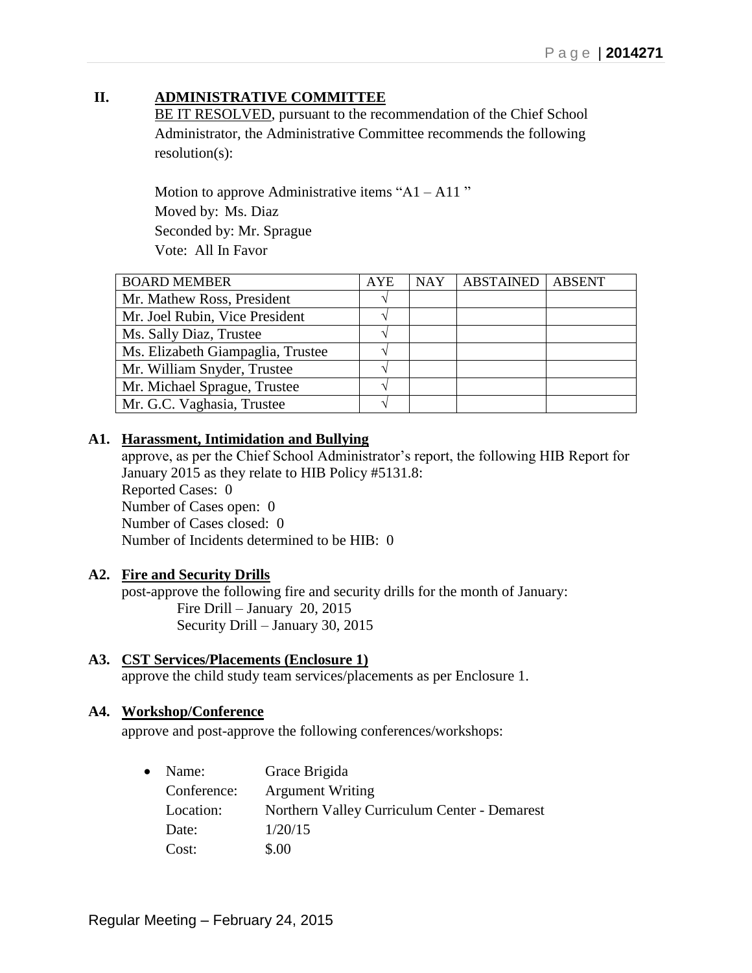# **II. ADMINISTRATIVE COMMITTEE**

BE IT RESOLVED, pursuant to the recommendation of the Chief School Administrator, the Administrative Committee recommends the following resolution(s):

Motion to approve Administrative items " $A1 - A11$ " Moved by: Ms. Diaz Seconded by: Mr. Sprague Vote: All In Favor

| <b>BOARD MEMBER</b>               | <b>AYE</b> | <b>NAY</b> | <b>ABSTAINED</b> | <b>ABSENT</b> |
|-----------------------------------|------------|------------|------------------|---------------|
| Mr. Mathew Ross, President        |            |            |                  |               |
| Mr. Joel Rubin, Vice President    |            |            |                  |               |
| Ms. Sally Diaz, Trustee           |            |            |                  |               |
| Ms. Elizabeth Giampaglia, Trustee |            |            |                  |               |
| Mr. William Snyder, Trustee       |            |            |                  |               |
| Mr. Michael Sprague, Trustee      |            |            |                  |               |
| Mr. G.C. Vaghasia, Trustee        |            |            |                  |               |

### **A1. Harassment, Intimidation and Bullying**

approve, as per the Chief School Administrator's report, the following HIB Report for January 2015 as they relate to HIB Policy #5131.8: Reported Cases: 0 Number of Cases open: 0 Number of Cases closed: 0 Number of Incidents determined to be HIB: 0

### **A2. Fire and Security Drills**

post-approve the following fire and security drills for the month of January: Fire Drill – January 20, 2015 Security Drill – January 30, 2015

# **A3. CST Services/Placements (Enclosure 1)**

approve the child study team services/placements as per Enclosure 1.

### **A4. Workshop/Conference**

approve and post-approve the following conferences/workshops:

| $\bullet$ | Name:       | Grace Brigida                                |
|-----------|-------------|----------------------------------------------|
|           | Conference: | <b>Argument Writing</b>                      |
|           | Location:   | Northern Valley Curriculum Center - Demarest |
|           | Date:       | 1/20/15                                      |
|           | Cost:       | \$.00                                        |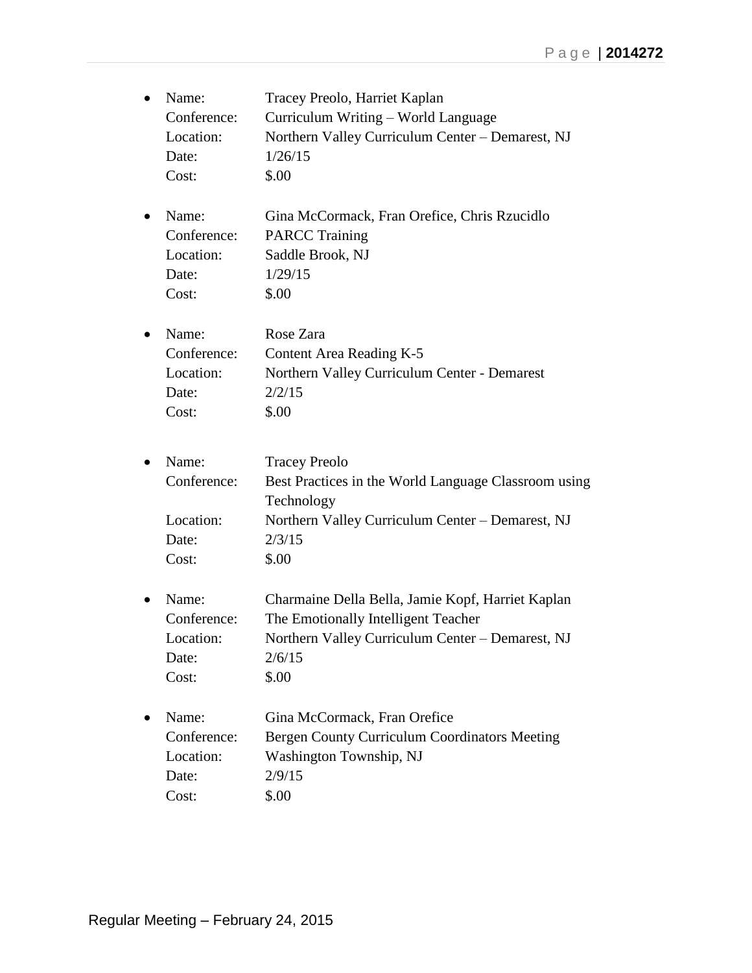| Name:       | Tracey Preolo, Harriet Kaplan                        |
|-------------|------------------------------------------------------|
| Conference: | Curriculum Writing - World Language                  |
| Location:   | Northern Valley Curriculum Center - Demarest, NJ     |
| Date:       | 1/26/15                                              |
| Cost:       | \$.00                                                |
| Name:       | Gina McCormack, Fran Orefice, Chris Rzucidlo         |
| Conference: | <b>PARCC Training</b>                                |
| Location:   | Saddle Brook, NJ                                     |
| Date:       | 1/29/15                                              |
| Cost:       | \$.00                                                |
| Name:       | Rose Zara                                            |
| Conference: | Content Area Reading K-5                             |
| Location:   | Northern Valley Curriculum Center - Demarest         |
| Date:       | 2/2/15                                               |
| Cost:       | \$.00                                                |
| Name:       | <b>Tracey Preolo</b>                                 |
| Conference: | Best Practices in the World Language Classroom using |
|             | Technology                                           |
| Location:   | Northern Valley Curriculum Center - Demarest, NJ     |
| Date:       | 2/3/15                                               |
| Cost:       | \$.00                                                |
| Name:       | Charmaine Della Bella, Jamie Kopf, Harriet Kaplan    |
| Conference: | The Emotionally Intelligent Teacher                  |
| Location:   | Northern Valley Curriculum Center - Demarest, NJ     |
| Date:       | 2/6/15                                               |
| Cost:       | \$.00                                                |
| Name:       | Gina McCormack, Fran Orefice                         |
| Conference: | Bergen County Curriculum Coordinators Meeting        |
| Location:   | Washington Township, NJ                              |
| Date:       | 2/9/15                                               |
| Cost:       | \$.00                                                |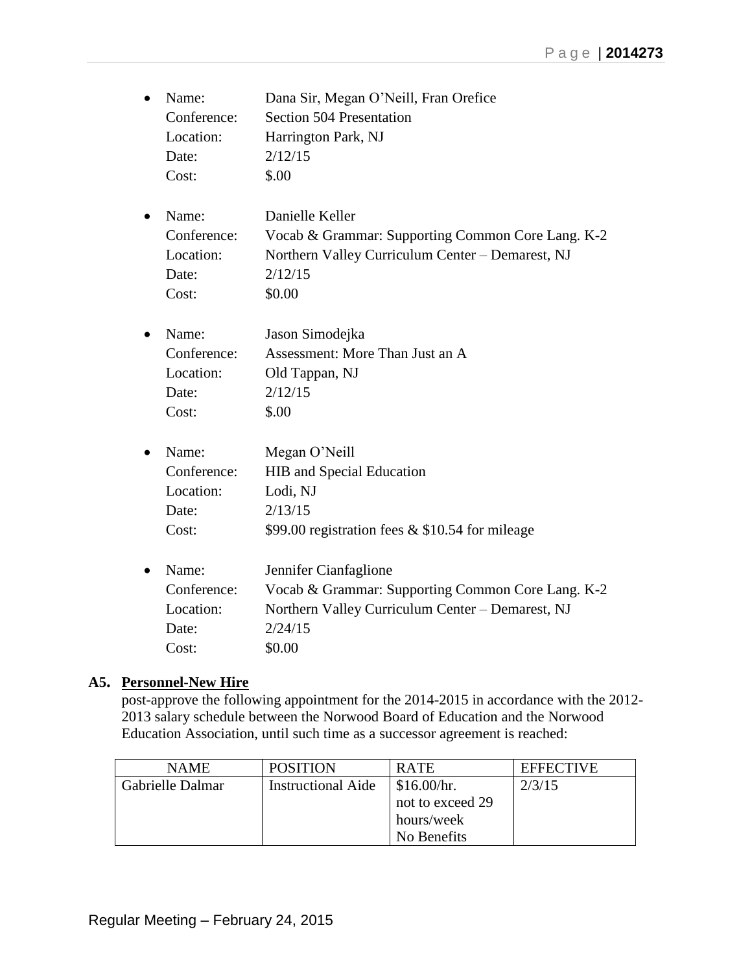| Name:<br>Conference:<br>Location:<br>Date:<br>Cost: | Dana Sir, Megan O'Neill, Fran Orefice<br>Section 504 Presentation<br>Harrington Park, NJ<br>2/12/15<br>\$.00                                        |
|-----------------------------------------------------|-----------------------------------------------------------------------------------------------------------------------------------------------------|
| Name:<br>Conference:<br>Location:<br>Date:<br>Cost: | Danielle Keller<br>Vocab & Grammar: Supporting Common Core Lang. K-2<br>Northern Valley Curriculum Center - Demarest, NJ<br>2/12/15<br>\$0.00       |
| Name:<br>Conference:<br>Location:<br>Date:<br>Cost: | Jason Simodejka<br>Assessment: More Than Just an A<br>Old Tappan, NJ<br>2/12/15<br>\$.00                                                            |
| Name:<br>Conference:<br>Location:<br>Date:<br>Cost: | Megan O'Neill<br>HIB and Special Education<br>Lodi, NJ<br>2/13/15<br>\$99.00 registration fees & \$10.54 for mileage                                |
| Name:<br>Conference:<br>Location:<br>Date:<br>Cost: | Jennifer Cianfaglione<br>Vocab & Grammar: Supporting Common Core Lang. K-2<br>Northern Valley Curriculum Center - Demarest, NJ<br>2/24/15<br>\$0.00 |

### **A5. Personnel-New Hire**

post-approve the following appointment for the 2014-2015 in accordance with the 2012- 2013 salary schedule between the Norwood Board of Education and the Norwood Education Association, until such time as a successor agreement is reached:

| <b>NAME</b>      | <b>POSITION</b>           | <b>RATE</b>      | <b>EFFECTIVE</b> |
|------------------|---------------------------|------------------|------------------|
| Gabrielle Dalmar | <b>Instructional Aide</b> | \$16.00/hr.      | 2/3/15           |
|                  |                           | not to exceed 29 |                  |
|                  |                           | hours/week       |                  |
|                  |                           | No Benefits      |                  |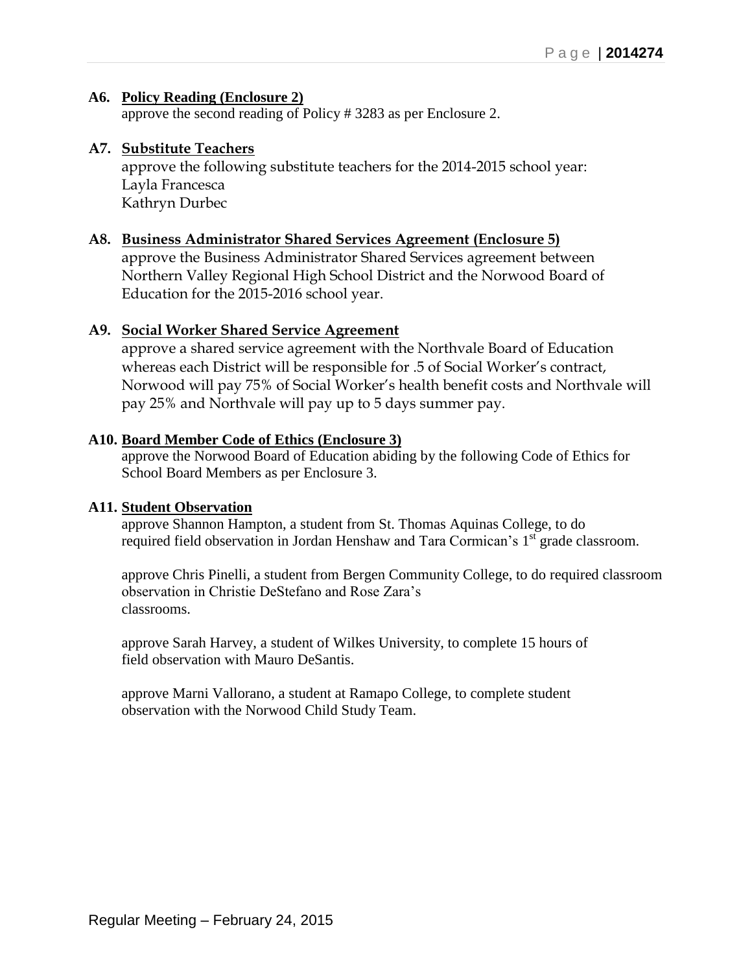### **A6. Policy Reading (Enclosure 2)**

approve the second reading of Policy # 3283 as per Enclosure 2.

### **A7. Substitute Teachers**

approve the following substitute teachers for the 2014-2015 school year: Layla Francesca Kathryn Durbec

### **A8. Business Administrator Shared Services Agreement (Enclosure 5)**

approve the Business Administrator Shared Services agreement between Northern Valley Regional High School District and the Norwood Board of Education for the 2015-2016 school year.

### **A9. Social Worker Shared Service Agreement**

approve a shared service agreement with the Northvale Board of Education whereas each District will be responsible for .5 of Social Worker's contract, Norwood will pay 75% of Social Worker's health benefit costs and Northvale will pay 25% and Northvale will pay up to 5 days summer pay.

### **A10. Board Member Code of Ethics (Enclosure 3)**

approve the Norwood Board of Education abiding by the following Code of Ethics for School Board Members as per Enclosure 3.

### **A11. Student Observation**

approve Shannon Hampton, a student from St. Thomas Aquinas College, to do required field observation in Jordan Henshaw and Tara Cormican's 1<sup>st</sup> grade classroom.

approve Chris Pinelli, a student from Bergen Community College, to do required classroom observation in Christie DeStefano and Rose Zara's classrooms.

approve Sarah Harvey, a student of Wilkes University, to complete 15 hours of field observation with Mauro DeSantis.

approve Marni Vallorano, a student at Ramapo College, to complete student observation with the Norwood Child Study Team.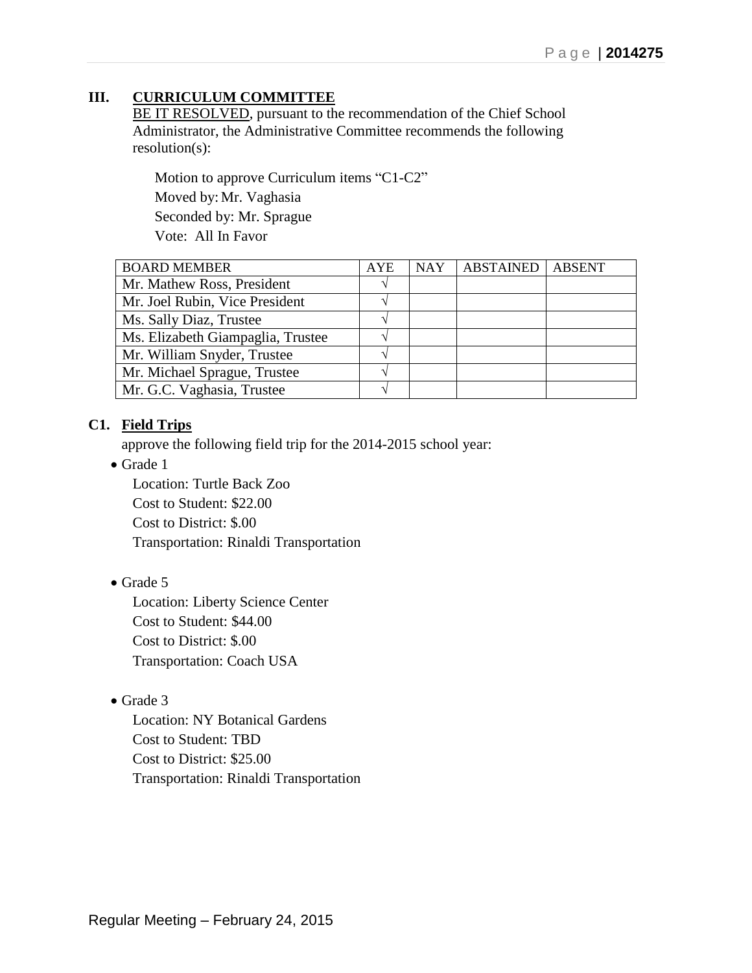# **III. CURRICULUM COMMITTEE**

BE IT RESOLVED, pursuant to the recommendation of the Chief School Administrator, the Administrative Committee recommends the following resolution(s):

Motion to approve Curriculum items "C1-C2" Moved by: Mr. Vaghasia Seconded by: Mr. Sprague Vote: All In Favor

| <b>BOARD MEMBER</b>               | <b>AYE</b> | <b>NAY</b> | <b>ABSTAINED</b> | <b>ABSENT</b> |
|-----------------------------------|------------|------------|------------------|---------------|
| Mr. Mathew Ross, President        |            |            |                  |               |
| Mr. Joel Rubin, Vice President    |            |            |                  |               |
| Ms. Sally Diaz, Trustee           |            |            |                  |               |
| Ms. Elizabeth Giampaglia, Trustee |            |            |                  |               |
| Mr. William Snyder, Trustee       |            |            |                  |               |
| Mr. Michael Sprague, Trustee      |            |            |                  |               |
| Mr. G.C. Vaghasia, Trustee        |            |            |                  |               |

### **C1. Field Trips**

approve the following field trip for the 2014-2015 school year:

• Grade 1

Location: Turtle Back Zoo Cost to Student: \$22.00 Cost to District: \$.00 Transportation: Rinaldi Transportation

### • Grade 5

Location: Liberty Science Center Cost to Student: \$44.00 Cost to District: \$.00 Transportation: Coach USA

### • Grade 3

Location: NY Botanical Gardens Cost to Student: TBD Cost to District: \$25.00 Transportation: Rinaldi Transportation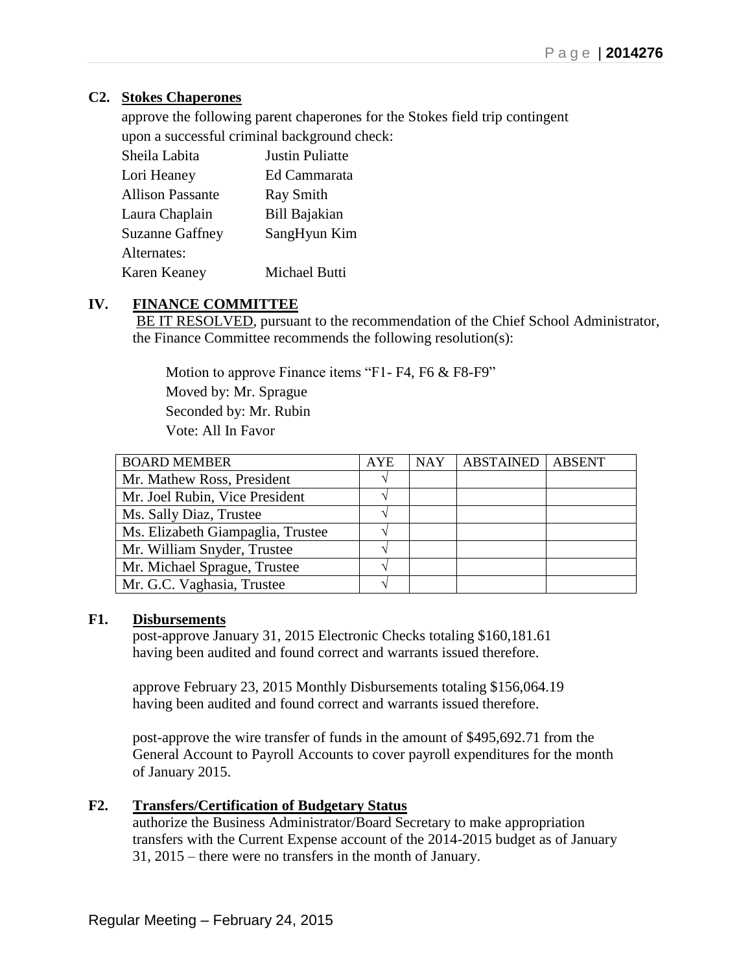## **C2. Stokes Chaperones**

approve the following parent chaperones for the Stokes field trip contingent upon a successful criminal background check:

| Sheila Labita           | <b>Justin Puliatte</b> |
|-------------------------|------------------------|
| Lori Heaney             | Ed Cammarata           |
| <b>Allison Passante</b> | <b>Ray Smith</b>       |
| Laura Chaplain          | Bill Bajakian          |
| Suzanne Gaffney         | SangHyun Kim           |
| Alternates:             |                        |
| Karen Keaney            | Michael Butti          |

## **IV. FINANCE COMMITTEE**

BE IT RESOLVED, pursuant to the recommendation of the Chief School Administrator, the Finance Committee recommends the following resolution(s):

Motion to approve Finance items "F1- F4, F6 & F8-F9" Moved by: Mr. Sprague Seconded by: Mr. Rubin Vote: All In Favor

| <b>BOARD MEMBER</b>               | <b>AYE</b> | <b>NAY</b> | <b>ABSTAINED</b> | <b>ABSENT</b> |
|-----------------------------------|------------|------------|------------------|---------------|
| Mr. Mathew Ross, President        |            |            |                  |               |
| Mr. Joel Rubin, Vice President    |            |            |                  |               |
| Ms. Sally Diaz, Trustee           |            |            |                  |               |
| Ms. Elizabeth Giampaglia, Trustee |            |            |                  |               |
| Mr. William Snyder, Trustee       |            |            |                  |               |
| Mr. Michael Sprague, Trustee      |            |            |                  |               |
| Mr. G.C. Vaghasia, Trustee        |            |            |                  |               |

### **F1. Disbursements**

post-approve January 31, 2015 Electronic Checks totaling \$160,181.61 having been audited and found correct and warrants issued therefore.

approve February 23, 2015 Monthly Disbursements totaling \$156,064.19 having been audited and found correct and warrants issued therefore.

post-approve the wire transfer of funds in the amount of \$495,692.71 from the General Account to Payroll Accounts to cover payroll expenditures for the month of January 2015.

### **F2. Transfers/Certification of Budgetary Status**

authorize the Business Administrator/Board Secretary to make appropriation transfers with the Current Expense account of the 2014-2015 budget as of January 31, 2015 – there were no transfers in the month of January.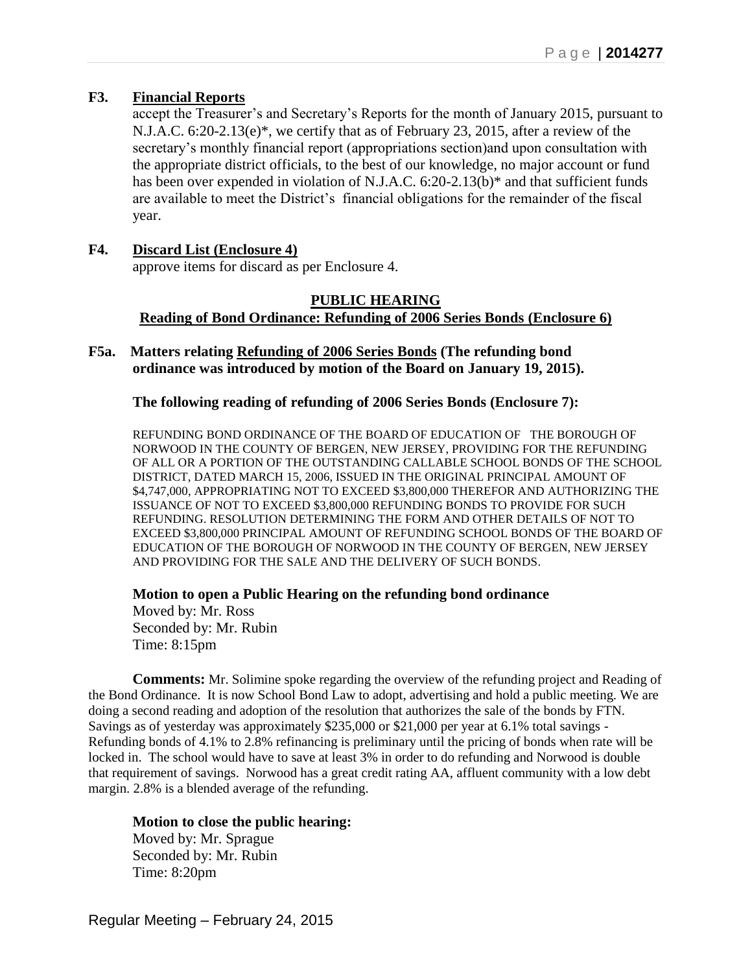### **F3. Financial Reports**

accept the Treasurer's and Secretary's Reports for the month of January 2015, pursuant to N.J.A.C. 6:20-2.13(e)\*, we certify that as of February 23, 2015, after a review of the secretary's monthly financial report (appropriations section)and upon consultation with the appropriate district officials, to the best of our knowledge, no major account or fund has been over expended in violation of N.J.A.C. 6:20-2.13(b)<sup>\*</sup> and that sufficient funds are available to meet the District's financial obligations for the remainder of the fiscal year.

#### **F4. Discard List (Enclosure 4)** approve items for discard as per Enclosure 4.

#### **PUBLIC HEARING Reading of Bond Ordinance: Refunding of 2006 Series Bonds (Enclosure 6)**

**F5a. Matters relating Refunding of 2006 Series Bonds (The refunding bond ordinance was introduced by motion of the Board on January 19, 2015).**

### **The following reading of refunding of 2006 Series Bonds (Enclosure 7):**

REFUNDING BOND ORDINANCE OF THE BOARD OF EDUCATION OF THE BOROUGH OF NORWOOD IN THE COUNTY OF BERGEN, NEW JERSEY, PROVIDING FOR THE REFUNDING OF ALL OR A PORTION OF THE OUTSTANDING CALLABLE SCHOOL BONDS OF THE SCHOOL DISTRICT, DATED MARCH 15, 2006, ISSUED IN THE ORIGINAL PRINCIPAL AMOUNT OF \$4,747,000, APPROPRIATING NOT TO EXCEED \$3,800,000 THEREFOR AND AUTHORIZING THE ISSUANCE OF NOT TO EXCEED \$3,800,000 REFUNDING BONDS TO PROVIDE FOR SUCH REFUNDING. RESOLUTION DETERMINING THE FORM AND OTHER DETAILS OF NOT TO EXCEED \$3,800,000 PRINCIPAL AMOUNT OF REFUNDING SCHOOL BONDS OF THE BOARD OF EDUCATION OF THE BOROUGH OF NORWOOD IN THE COUNTY OF BERGEN, NEW JERSEY AND PROVIDING FOR THE SALE AND THE DELIVERY OF SUCH BONDS.

#### **Motion to open a Public Hearing on the refunding bond ordinance**

Moved by: Mr. Ross Seconded by: Mr. Rubin Time: 8:15pm

**Comments:** Mr. Solimine spoke regarding the overview of the refunding project and Reading of the Bond Ordinance. It is now School Bond Law to adopt, advertising and hold a public meeting. We are doing a second reading and adoption of the resolution that authorizes the sale of the bonds by FTN. Savings as of yesterday was approximately \$235,000 or \$21,000 per year at 6.1% total savings - Refunding bonds of 4.1% to 2.8% refinancing is preliminary until the pricing of bonds when rate will be locked in. The school would have to save at least 3% in order to do refunding and Norwood is double that requirement of savings. Norwood has a great credit rating AA, affluent community with a low debt margin. 2.8% is a blended average of the refunding.

### **Motion to close the public hearing:**

Moved by: Mr. Sprague Seconded by: Mr. Rubin Time: 8:20pm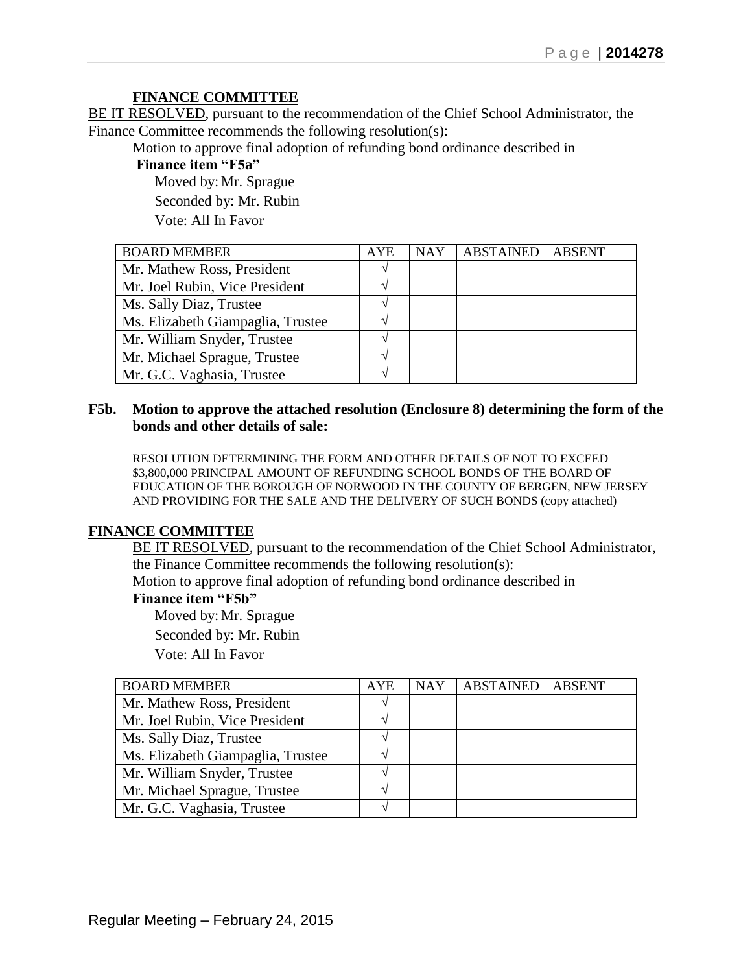### **FINANCE COMMITTEE**

BE IT RESOLVED, pursuant to the recommendation of the Chief School Administrator, the Finance Committee recommends the following resolution(s):

Motion to approve final adoption of refunding bond ordinance described in

**Finance item "F5a"** 

Moved by: Mr. Sprague Seconded by: Mr. Rubin Vote: All In Favor

BOARD MEMBER AYE NAY ABSTAINED ABSENT Mr. Mathew Ross, President **√** √ Mr. Joel Rubin, Vice President **√** Ms. Sally Diaz, Trustee **√** Ms. Elizabeth Giampaglia, Trustee **√** Mr. William Snyder, Trustee **√** Mr. Michael Sprague, Trustee **√** Mr. G.C. Vaghasia, Trustee **√**

#### **F5b. Motion to approve the attached resolution (Enclosure 8) determining the form of the bonds and other details of sale:**

RESOLUTION DETERMINING THE FORM AND OTHER DETAILS OF NOT TO EXCEED \$3,800,000 PRINCIPAL AMOUNT OF REFUNDING SCHOOL BONDS OF THE BOARD OF EDUCATION OF THE BOROUGH OF NORWOOD IN THE COUNTY OF BERGEN, NEW JERSEY AND PROVIDING FOR THE SALE AND THE DELIVERY OF SUCH BONDS (copy attached)

### **FINANCE COMMITTEE**

BE IT RESOLVED, pursuant to the recommendation of the Chief School Administrator, the Finance Committee recommends the following resolution(s):

Motion to approve final adoption of refunding bond ordinance described in

# **Finance item "F5b"**

Moved by: Mr. Sprague

Seconded by: Mr. Rubin

Vote: All In Favor

| <b>BOARD MEMBER</b>               | <b>AYE</b> | <b>NAY</b> | <b>ABSTAINED</b> | <b>ABSENT</b> |
|-----------------------------------|------------|------------|------------------|---------------|
| Mr. Mathew Ross, President        |            |            |                  |               |
| Mr. Joel Rubin, Vice President    |            |            |                  |               |
| Ms. Sally Diaz, Trustee           |            |            |                  |               |
| Ms. Elizabeth Giampaglia, Trustee |            |            |                  |               |
| Mr. William Snyder, Trustee       |            |            |                  |               |
| Mr. Michael Sprague, Trustee      |            |            |                  |               |
| Mr. G.C. Vaghasia, Trustee        |            |            |                  |               |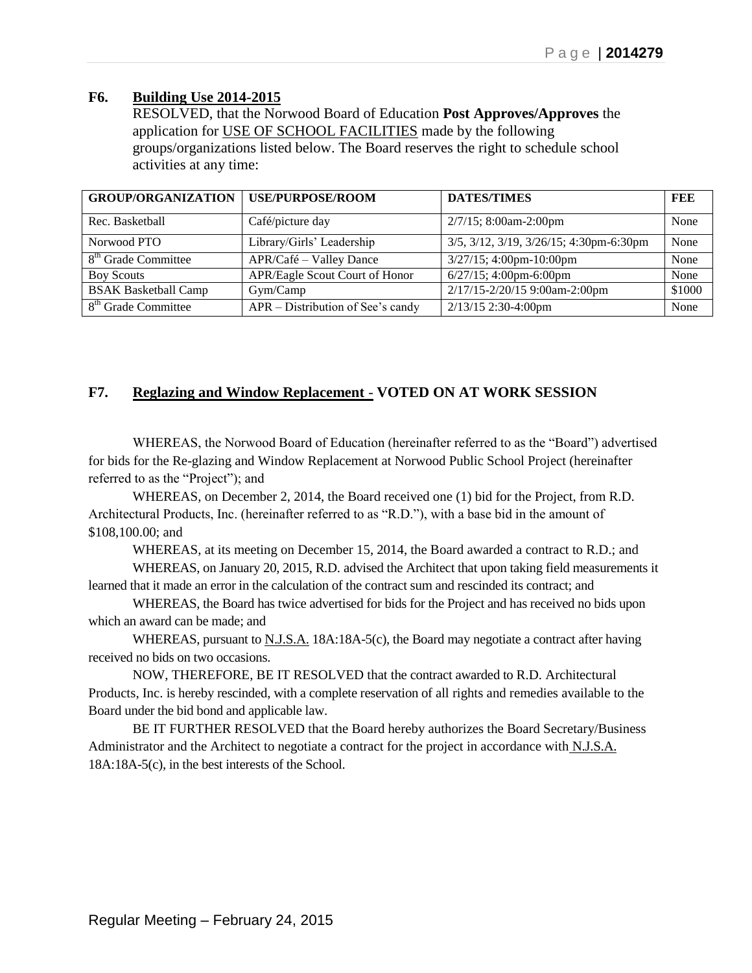### **F6. Building Use 2014-2015**

RESOLVED, that the Norwood Board of Education **Post Approves/Approves** the application for USE OF SCHOOL FACILITIES made by the following groups/organizations listed below. The Board reserves the right to schedule school activities at any time:

| <b>GROUP/ORGANIZATION   USE/PURPOSE/ROOM</b> |                                   | <b>DATES/TIMES</b>                      | FEE    |
|----------------------------------------------|-----------------------------------|-----------------------------------------|--------|
| Rec. Basketball                              | Café/picture day                  | 2/7/15; 8:00am-2:00pm                   | None   |
| Norwood PTO                                  | Library/Girls' Leadership         | 3/5, 3/12, 3/19, 3/26/15; 4:30pm-6:30pm | None   |
| 8 <sup>th</sup> Grade Committee              | APR/Café – Valley Dance           | $3/27/15$ ; 4:00pm-10:00pm              | None   |
| <b>Boy Scouts</b>                            | APR/Eagle Scout Court of Honor    | $6/27/15$ ; 4:00pm-6:00pm               | None   |
| <b>BSAK Basketball Camp</b>                  | Gym/Camp                          | 2/17/15-2/20/15 9:00am-2:00pm           | \$1000 |
| 8 <sup>th</sup> Grade Committee              | APR – Distribution of See's candy | 2/13/15 2:30-4:00pm                     | None   |

## **F7. Reglazing and Window Replacement** - **VOTED ON AT WORK SESSION**

WHEREAS, the Norwood Board of Education (hereinafter referred to as the "Board") advertised for bids for the Re-glazing and Window Replacement at Norwood Public School Project (hereinafter referred to as the "Project"); and

WHEREAS, on December 2, 2014, the Board received one (1) bid for the Project, from R.D. Architectural Products, Inc. (hereinafter referred to as "R.D."), with a base bid in the amount of \$108,100.00; and

WHEREAS, at its meeting on December 15, 2014, the Board awarded a contract to R.D.; and WHEREAS, on January 20, 2015, R.D. advised the Architect that upon taking field measurements it

learned that it made an error in the calculation of the contract sum and rescinded its contract; and

WHEREAS, the Board has twice advertised for bids for the Project and has received no bids upon which an award can be made; and

WHEREAS, pursuant to  $N.J.S.A.$  18A:18A-5(c), the Board may negotiate a contract after having received no bids on two occasions.

NOW, THEREFORE, BE IT RESOLVED that the contract awarded to R.D. Architectural Products, Inc. is hereby rescinded, with a complete reservation of all rights and remedies available to the Board under the bid bond and applicable law.

BE IT FURTHER RESOLVED that the Board hereby authorizes the Board Secretary/Business Administrator and the Architect to negotiate a contract for the project in accordance with N.J.S.A. 18A:18A-5(c), in the best interests of the School.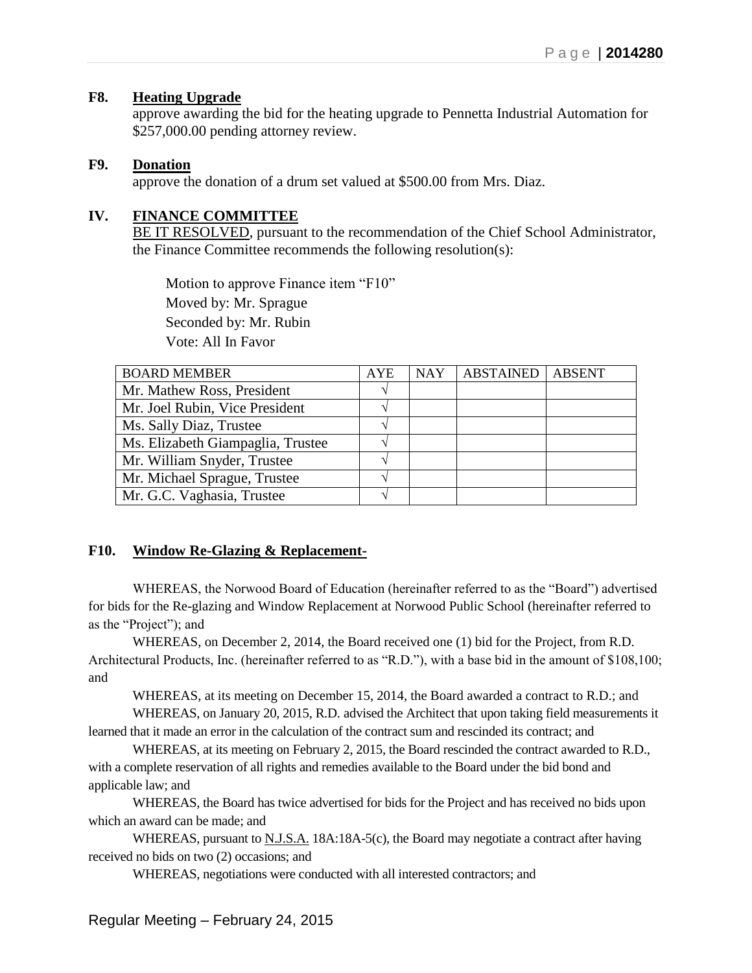### **F8. Heating Upgrade**

approve awarding the bid for the heating upgrade to Pennetta Industrial Automation for \$257,000.00 pending attorney review.

#### **F9. Donation**

approve the donation of a drum set valued at \$500.00 from Mrs. Diaz.

### **IV. FINANCE COMMITTEE**

BE IT RESOLVED, pursuant to the recommendation of the Chief School Administrator, the Finance Committee recommends the following resolution(s):

 Motion to approve Finance item "F10" Moved by: Mr. Sprague Seconded by: Mr. Rubin Vote: All In Favor

| <b>BOARD MEMBER</b>               | <b>AYE</b> | <b>NAY</b> | <b>ABSTAINED</b> | <b>ABSENT</b> |
|-----------------------------------|------------|------------|------------------|---------------|
| Mr. Mathew Ross, President        |            |            |                  |               |
| Mr. Joel Rubin, Vice President    |            |            |                  |               |
| Ms. Sally Diaz, Trustee           |            |            |                  |               |
| Ms. Elizabeth Giampaglia, Trustee |            |            |                  |               |
| Mr. William Snyder, Trustee       |            |            |                  |               |
| Mr. Michael Sprague, Trustee      |            |            |                  |               |
| Mr. G.C. Vaghasia, Trustee        |            |            |                  |               |

### **F10. Window Re-Glazing & Replacement-**

WHEREAS, the Norwood Board of Education (hereinafter referred to as the "Board") advertised for bids for the Re-glazing and Window Replacement at Norwood Public School (hereinafter referred to as the "Project"); and

WHEREAS, on December 2, 2014, the Board received one (1) bid for the Project, from R.D. Architectural Products, Inc. (hereinafter referred to as "R.D."), with a base bid in the amount of \$108,100; and

WHEREAS, at its meeting on December 15, 2014, the Board awarded a contract to R.D.; and WHEREAS, on January 20, 2015, R.D. advised the Architect that upon taking field measurements it

learned that it made an error in the calculation of the contract sum and rescinded its contract; and

WHEREAS, at its meeting on February 2, 2015, the Board rescinded the contract awarded to R.D., with a complete reservation of all rights and remedies available to the Board under the bid bond and applicable law; and

WHEREAS, the Board has twice advertised for bids for the Project and has received no bids upon which an award can be made; and

WHEREAS, pursuant to N.J.S.A. 18A:18A-5(c), the Board may negotiate a contract after having received no bids on two (2) occasions; and

WHEREAS, negotiations were conducted with all interested contractors; and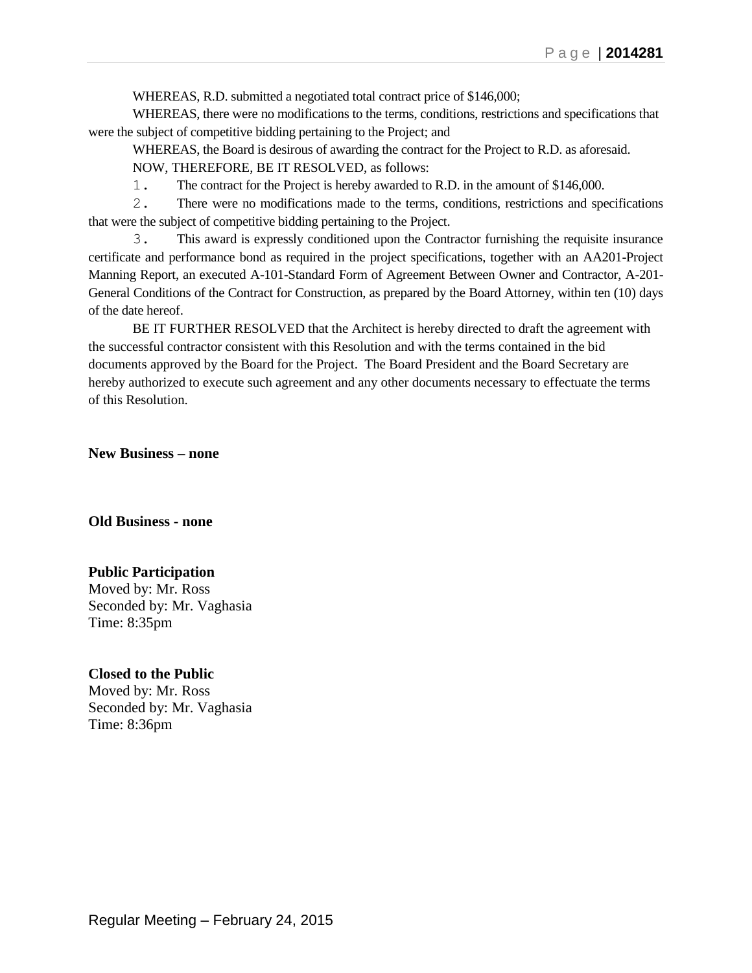WHEREAS, R.D. submitted a negotiated total contract price of \$146,000;

WHEREAS, there were no modifications to the terms, conditions, restrictions and specifications that were the subject of competitive bidding pertaining to the Project; and

WHEREAS, the Board is desirous of awarding the contract for the Project to R.D. as aforesaid. NOW, THEREFORE, BE IT RESOLVED, as follows:

1. The contract for the Project is hereby awarded to R.D. in the amount of \$146,000.

2. There were no modifications made to the terms, conditions, restrictions and specifications that were the subject of competitive bidding pertaining to the Project.

3. This award is expressly conditioned upon the Contractor furnishing the requisite insurance certificate and performance bond as required in the project specifications, together with an AA201-Project Manning Report, an executed A-101-Standard Form of Agreement Between Owner and Contractor, A-201- General Conditions of the Contract for Construction, as prepared by the Board Attorney, within ten (10) days of the date hereof.

BE IT FURTHER RESOLVED that the Architect is hereby directed to draft the agreement with the successful contractor consistent with this Resolution and with the terms contained in the bid documents approved by the Board for the Project. The Board President and the Board Secretary are hereby authorized to execute such agreement and any other documents necessary to effectuate the terms of this Resolution.

**New Business – none**

**Old Business - none**

### **Public Participation**

Moved by: Mr. Ross Seconded by: Mr. Vaghasia Time: 8:35pm

#### **Closed to the Public**

Moved by: Mr. Ross Seconded by: Mr. Vaghasia Time: 8:36pm